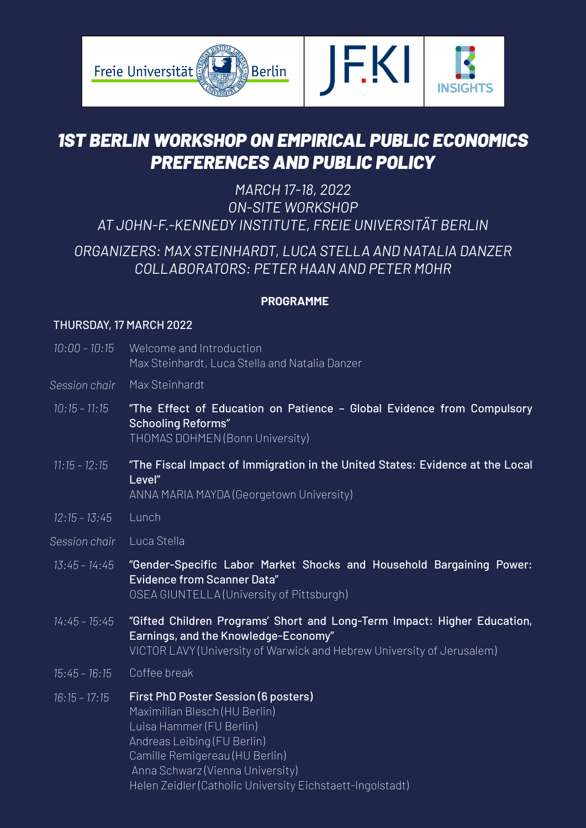

# *1ST BERLIN WORKSHOP ON EMPIRICAL PUBLIC ECONOMICS PREFERENCES AND PUBLIC POLICY*

## *MARCH 17-18, 2022 ON-SITE WORKSHOP AT JOHN-F.-KENNEDY INSTITUTE, FREIE UNIVERSITÄT BERLIN*

# *ORGANIZERS: MAX STEINHARDT, LUCA STELLA AND NATALIA DANZER COLLABORATORS: PETER HAAN AND PETER MOHR*

## **PROGRAMME**

## THURSDAY, 17 MARCH 2022

- 10:00 10:15 Welcome and Introduction Max Steinhardt, Luca Stella and Natalia Danzer
- Max Steinhardt *Session chair*
- "The Effect of Education on Patience Global Evidence from Compulsory Schooling Reforms" THOMAS DOHMEN (Bonn University) *10:15 – 11:15*
- "The Fiscal Impact of Immigration in the United States: Evidence at the Local Level" *11:15 – 12:15*

ANNA MARIA MAYDA (Georgetown University)

- Lunch *12:15 – 13:45*
- Luca Stella *Session chair*
- "Gender-Specific Labor Market Shocks and Household Bargaining Power: Evidence from Scanner Data" OSEA GIUNTELLA (University of Pittsburgh) *13:45 – 14:45*
- "Gifted Children Programs' Short and Long-Term Impact: Higher Education, Earnings, and the Knowledge-Economy" VICTOR LAVY (University of Warwick and Hebrew University of Jerusalem) *14:45 – 15:45*
- Coffee break *15:45 – 16:15*
- First PhD Poster Session (6 posters) Maximilian Blesch (HU Berlin) Luisa Hammer (FU Berlin) Andreas Leibing (FU Berlin) Camille Remigereau (HU Berlin) Anna Schwarz (Vienna University) Helen Zeidler (Catholic University Eichstaett-Ingolstadt) *16:15 – 17:15*